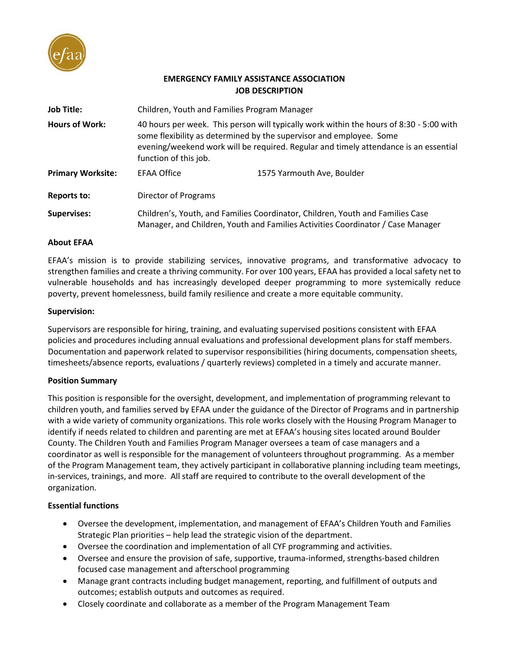

# **EMERGENCY FAMILY ASSISTANCE ASSOCIATION JOB DESCRIPTION**

| <b>Job Title:</b>        | Children, Youth and Families Program Manager                                                                                                                                                                                                                                    |                            |
|--------------------------|---------------------------------------------------------------------------------------------------------------------------------------------------------------------------------------------------------------------------------------------------------------------------------|----------------------------|
| <b>Hours of Work:</b>    | 40 hours per week. This person will typically work within the hours of 8:30 - 5:00 with<br>some flexibility as determined by the supervisor and employee. Some<br>evening/weekend work will be required. Regular and timely attendance is an essential<br>function of this job. |                            |
| <b>Primary Worksite:</b> | <b>EFAA Office</b>                                                                                                                                                                                                                                                              | 1575 Yarmouth Ave, Boulder |
| <b>Reports to:</b>       | Director of Programs                                                                                                                                                                                                                                                            |                            |
| <b>Supervises:</b>       | Children's, Youth, and Families Coordinator, Children, Youth and Families Case<br>Manager, and Children, Youth and Families Activities Coordinator / Case Manager                                                                                                               |                            |

#### **About EFAA**

EFAA's mission is to provide stabilizing services, innovative programs, and transformative advocacy to strengthen families and create a thriving community. For over 100 years, EFAA has provided a local safety net to vulnerable households and has increasingly developed deeper programming to more systemically reduce poverty, prevent homelessness, build family resilience and create a more equitable community.

#### **Supervision:**

Supervisors are responsible for hiring, training, and evaluating supervised positions consistent with EFAA policies and procedures including annual evaluations and professional development plans for staff members. Documentation and paperwork related to supervisor responsibilities (hiring documents, compensation sheets, timesheets/absence reports, evaluations / quarterly reviews) completed in a timely and accurate manner.

## **Position Summary**

This position is responsible for the oversight, development, and implementation of programming relevant to children youth, and families served by EFAA under the guidance of the Director of Programs and in partnership with a wide variety of community organizations. This role works closely with the Housing Program Manager to identify if needs related to children and parenting are met at EFAA's housing sites located around Boulder County. The Children Youth and Families Program Manager oversees a team of case managers and a coordinator as well is responsible for the management of volunteers throughout programming. As a member of the Program Management team, they actively participant in collaborative planning including team meetings, in-services, trainings, and more. All staff are required to contribute to the overall development of the organization.

## **Essential functions**

- Oversee the development, implementation, and management of EFAA's Children Youth and Families Strategic Plan priorities – help lead the strategic vision of the department.
- Oversee the coordination and implementation of all CYF programming and activities.
- Oversee and ensure the provision of safe, supportive, trauma-informed, strengths-based children focused case management and afterschool programming
- Manage grant contracts including budget management, reporting, and fulfillment of outputs and outcomes; establish outputs and outcomes as required.
- Closely coordinate and collaborate as a member of the Program Management Team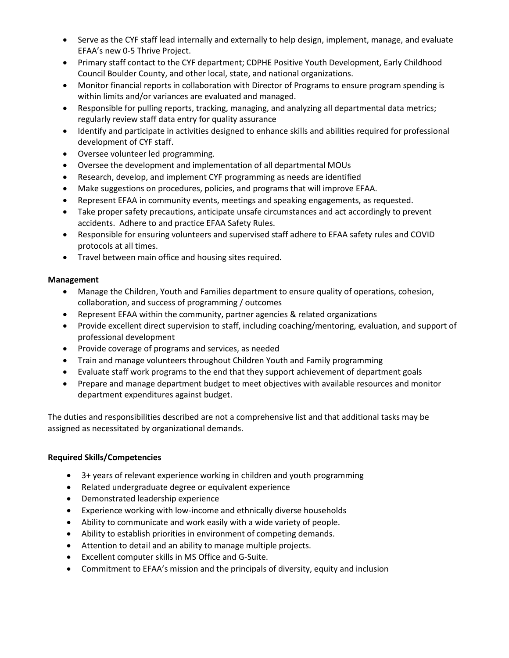- Serve as the CYF staff lead internally and externally to help design, implement, manage, and evaluate EFAA's new 0-5 Thrive Project.
- Primary staff contact to the CYF department; CDPHE Positive Youth Development, Early Childhood Council Boulder County, and other local, state, and national organizations.
- Monitor financial reports in collaboration with Director of Programs to ensure program spending is within limits and/or variances are evaluated and managed.
- Responsible for pulling reports, tracking, managing, and analyzing all departmental data metrics; regularly review staff data entry for quality assurance
- Identify and participate in activities designed to enhance skills and abilities required for professional development of CYF staff.
- Oversee volunteer led programming.
- Oversee the development and implementation of all departmental MOUs
- Research, develop, and implement CYF programming as needs are identified
- Make suggestions on procedures, policies, and programs that will improve EFAA.
- Represent EFAA in community events, meetings and speaking engagements, as requested.
- Take proper safety precautions, anticipate unsafe circumstances and act accordingly to prevent accidents. Adhere to and practice EFAA Safety Rules.
- Responsible for ensuring volunteers and supervised staff adhere to EFAA safety rules and COVID protocols at all times.
- Travel between main office and housing sites required.

# **Management**

- Manage the Children, Youth and Families department to ensure quality of operations, cohesion, collaboration, and success of programming / outcomes
- Represent EFAA within the community, partner agencies & related organizations
- Provide excellent direct supervision to staff, including coaching/mentoring, evaluation, and support of professional development
- Provide coverage of programs and services, as needed
- Train and manage volunteers throughout Children Youth and Family programming
- Evaluate staff work programs to the end that they support achievement of department goals
- Prepare and manage department budget to meet objectives with available resources and monitor department expenditures against budget.

The duties and responsibilities described are not a comprehensive list and that additional tasks may be assigned as necessitated by organizational demands.

# **Required Skills/Competencies**

- 3+ years of relevant experience working in children and youth programming
- Related undergraduate degree or equivalent experience
- Demonstrated leadership experience
- Experience working with low-income and ethnically diverse households
- Ability to communicate and work easily with a wide variety of people.
- Ability to establish priorities in environment of competing demands.
- Attention to detail and an ability to manage multiple projects.
- Excellent computer skills in MS Office and G-Suite.
- Commitment to EFAA's mission and the principals of diversity, equity and inclusion